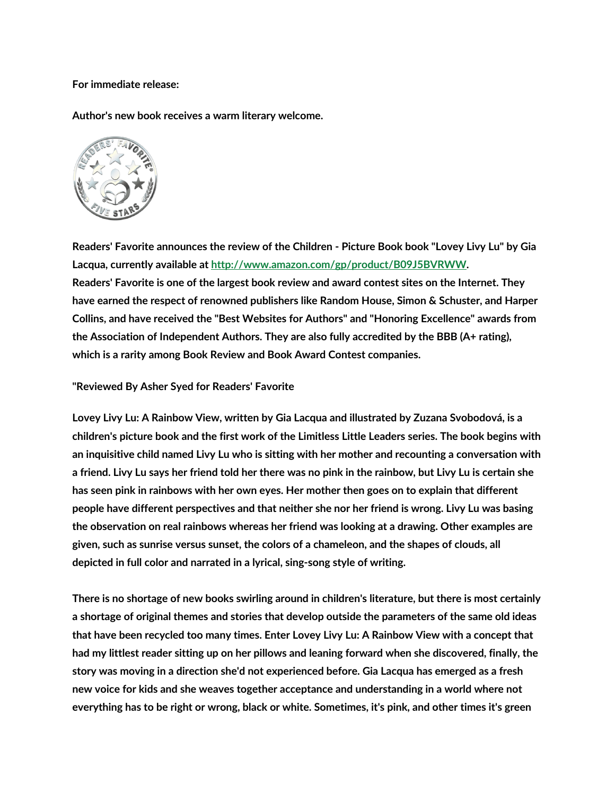**For immediate release:**

**Author's new book receives a warm literary welcome.**



**Readers' Favorite announces the review of the Children - Picture Book book "Lovey Livy Lu" by Gia Lacqua, currently available at http://www.amazon.com/gp/product/B09J5BVRWW. Readers' Favorite is one of the largest book review and award contest sites on the Internet. They have earned the respect of renowned publishers like Random House, Simon & Schuster, and Harper Collins, and have received the "Best Websites for Authors" and "Honoring Excellence" awards from the Association of Independent Authors. They are also fully accredited by the BBB (A+ rating), which is a rarity among Book Review and Book Award Contest companies.**

**"Reviewed By Asher Syed for Readers' Favorite**

**Lovey Livy Lu: A Rainbow View, written by Gia Lacqua and illustrated by Zuzana Svobodová, is a children's picture book and the first work of the Limitless Little Leaders series. The book begins with an inquisitive child named Livy Lu who is sitting with her mother and recounting a conversation with a friend. Livy Lu says her friend told her there was no pink in the rainbow, but Livy Lu is certain she has seen pink in rainbows with her own eyes. Her mother then goes on to explain that different people have different perspectives and that neither she nor her friend is wrong. Livy Lu was basing the observation on real rainbows whereas her friend was looking at a drawing. Other examples are given, such as sunrise versus sunset, the colors of a chameleon, and the shapes of clouds, all depicted in full color and narrated in a lyrical, sing-song style of writing.**

**There is no shortage of new books swirling around in children's literature, but there is most certainly a shortage of original themes and stories that develop outside the parameters of the same old ideas that have been recycled too many times. Enter Lovey Livy Lu: A Rainbow View with a concept that had my littlest reader sitting up on her pillows and leaning forward when she discovered, finally, the story was moving in a direction she'd not experienced before. Gia Lacqua has emerged as a fresh new voice for kids and she weaves together acceptance and understanding in a world where not everything has to be right or wrong, black or white. Sometimes, it's pink, and other times it's green**